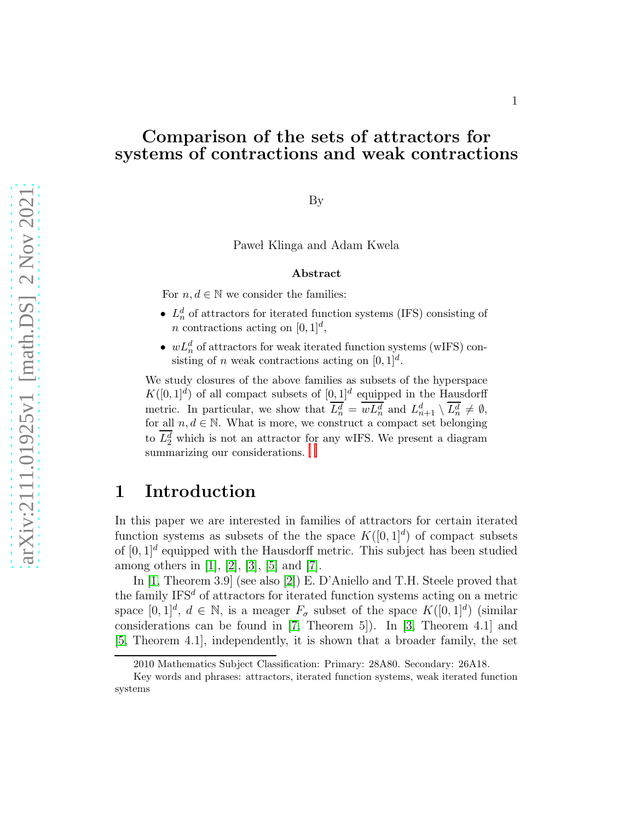#### Comparison of the sets of attractors for systems of contractions and weak contractions

By

Pawel Klinga and Adam Kwela

#### Abstract

For  $n, d \in \mathbb{N}$  we consider the families:

- $L_n^d$  of attractors for iterated function systems (IFS) consisting of *n* contractions acting on  $[0, 1]^d$ ,
- $wL_n^d$  of attractors for weak iterated function systems (wIFS) consisting of *n* weak contractions acting on  $[0, 1]^d$ .

We study closures of the above families as subsets of the hyperspace  $K([0,1]^d)$  of all compact subsets of  $[0,1]^d$  equipped in the Hausdorff metric. In particular, we show that  $\overline{L_n^d} = \overline{wL_n^d}$  and  $L_{n+1}^d \setminus \overline{L_n^d} \neq \emptyset$ , for all  $n, d \in \mathbb{N}$ . What is more, we construct a compact set belonging to $L_2^d$  which is n[o](#page-0-0)t an att[r](#page-0-1)actor for any wIFS. We present a diagram summarizing our considerations.

## 1 Introduction

In this paper we are interested in families of attractors for certain iterated function systems as subsets of the the space  $K([0,1]^d)$  of compact subsets of  $[0,1]^d$  equipped with the Hausdorff metric. This subject has been studied among others in [\[1\]](#page-13-0), [\[2\]](#page-13-1), [\[3\]](#page-13-2), [\[5\]](#page-13-3) and [\[7\]](#page-13-4).

In [\[1,](#page-13-0) Theorem 3.9] (see also [\[2\]](#page-13-1)) E. D'Aniello and T.H. Steele proved that the family  $IFS<sup>d</sup>$  of attractors for iterated function systems acting on a metric space  $[0,1]^d$ ,  $d \in \mathbb{N}$ , is a meager  $F_{\sigma}$  subset of the space  $K([0,1]^d)$  (similar considerations can be found in [\[7,](#page-13-4) Theorem 5]). In [\[3,](#page-13-2) Theorem 4.1] and [\[5,](#page-13-3) Theorem 4.1], independently, it is shown that a broader family, the set

<span id="page-0-0"></span><sup>2010</sup> Mathematics Subject Classification: Primary: 28A80. Secondary: 26A18.

<span id="page-0-1"></span>Key words and phrases: attractors, iterated function systems, weak iterated function systems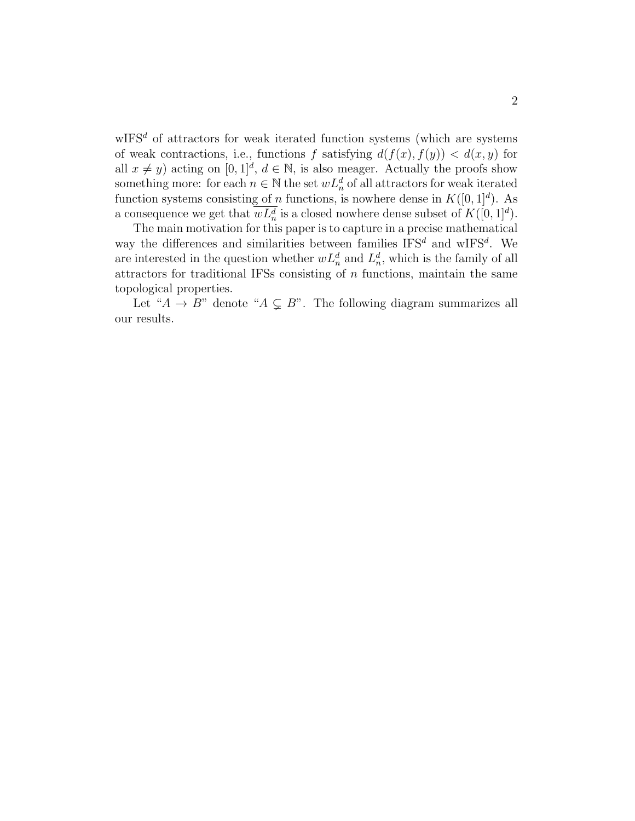$\mathbf{wIFS}^d$  of attractors for weak iterated function systems (which are systems of weak contractions, i.e., functions f satisfying  $d(f(x), f(y)) < d(x, y)$  for all  $x \neq y$ ) acting on  $[0, 1]^d$ ,  $d \in \mathbb{N}$ , is also meager. Actually the proofs show something more: for each  $n \in \mathbb{N}$  the set  $wL_n^d$  of all attractors for weak iterated function systems consisting of n functions, is nowhere dense in  $K([0, 1]^d)$ . As a consequence we get that  $\overline{wL_n^d}$  is a closed nowhere dense subset of  $K([0,1]^d)$ .

The main motivation for this paper is to capture in a precise mathematical way the differences and similarities between families  $IFS<sup>d</sup>$  and wIFS<sup>d</sup>. We are interested in the question whether  $wL_n^d$  and  $L_n^d$ , which is the family of all attractors for traditional IFSs consisting of  $n$  functions, maintain the same topological properties.

Let " $A \rightarrow B$ " denote " $A \subseteq B$ ". The following diagram summarizes all our results.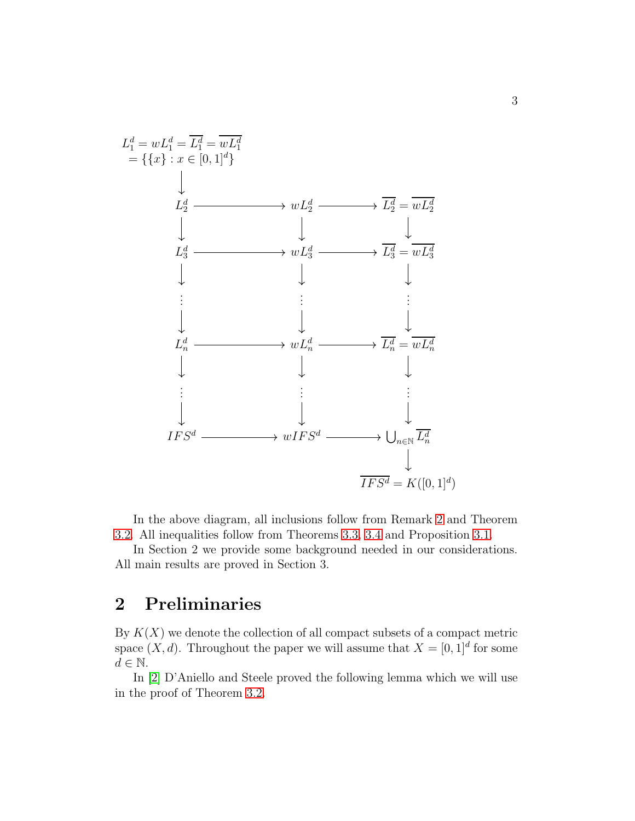

In the above diagram, all inclusions follow from Remark [2](#page-3-0) and Theorem [3.2.](#page-6-0) All inequalities follow from Theorems [3.3,](#page-7-0) [3.4](#page-9-0) and Proposition [3.1.](#page-5-0)

In Section 2 we provide some background needed in our considerations. All main results are proved in Section 3.

#### 2 Preliminaries

By  $K(X)$  we denote the collection of all compact subsets of a compact metric space  $(X, d)$ . Throughout the paper we will assume that  $X = [0, 1]^d$  for some  $d \in \mathbb{N}$ .

In [\[2\]](#page-13-1) D'Aniello and Steele proved the following lemma which we will use in the proof of Theorem [3.2.](#page-6-0)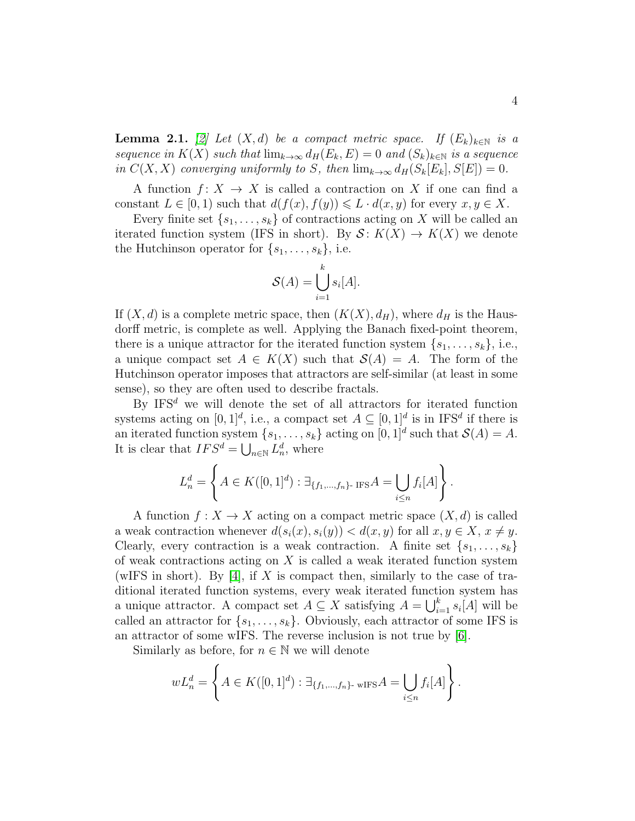<span id="page-3-0"></span>**Lemma 2.1.** [\[2\]](#page-13-1) Let  $(X, d)$  be a compact metric space. If  $(E_k)_{k \in \mathbb{N}}$  is a *sequence in*  $K(X)$  *such that*  $\lim_{k\to\infty} d_H(E_k, E) = 0$  *and*  $(S_k)_{k\in\mathbb{N}}$  *is a sequence in*  $C(X, X)$  *converging uniformly to S, then*  $\lim_{k\to\infty} d_H(S_k[E_k], S[E]) = 0$ *.* 

A function  $f: X \to X$  is called a contraction on X if one can find a constant  $L \in [0, 1)$  such that  $d(f(x), f(y)) \leq L \cdot d(x, y)$  for every  $x, y \in X$ .

Every finite set  $\{s_1, \ldots, s_k\}$  of contractions acting on X will be called an iterated function system (IFS in short). By  $S: K(X) \to K(X)$  we denote the Hutchinson operator for  $\{s_1, \ldots, s_k\}$ , i.e.

$$
\mathcal{S}(A) = \bigcup_{i=1}^{k} s_i[A].
$$

If  $(X, d)$  is a complete metric space, then  $(K(X), d_H)$ , where  $d_H$  is the Hausdorff metric, is complete as well. Applying the Banach fixed-point theorem, there is a unique attractor for the iterated function system  $\{s_1, \ldots, s_k\}$ , i.e., a unique compact set  $A \in K(X)$  such that  $\mathcal{S}(A) = A$ . The form of the Hutchinson operator imposes that attractors are self-similar (at least in some sense), so they are often used to describe fractals.

By IFS<sup>d</sup> we will denote the set of all attractors for iterated function systems acting on  $[0,1]^d$ , i.e., a compact set  $A \subseteq [0,1]^d$  is in IFS<sup>d</sup> if there is an iterated function system  $\{s_1, \ldots, s_k\}$  acting on  $[0, 1]^d$  such that  $\mathcal{S}(A) = A$ . It is clear that  $IFS^d = \bigcup_{n \in \mathbb{N}} L_n^d$ , where

$$
L_n^d = \left\{ A \in K([0,1]^d) : \exists_{\{f_1,\dots,f_n\} \text{-IFS}} A = \bigcup_{i \le n} f_i[A] \right\}.
$$

A function  $f: X \to X$  acting on a compact metric space  $(X, d)$  is called a weak contraction whenever  $d(s_i(x), s_i(y)) < d(x, y)$  for all  $x, y \in X$ ,  $x \neq y$ . Clearly, every contraction is a weak contraction. A finite set  $\{s_1, \ldots, s_k\}$ of weak contractions acting on  $X$  is called a weak iterated function system (wIFS in short). By [\[4\]](#page-13-5), if X is compact then, similarly to the case of traditional iterated function systems, every weak iterated function system has a unique attractor. A compact set  $A \subseteq X$  satisfying  $A = \bigcup_{i=1}^{k} s_i[A]$  will be called an attractor for  $\{s_1, \ldots, s_k\}$ . Obviously, each attractor of some IFS is an attractor of some wIFS. The reverse inclusion is not true by [\[6\]](#page-13-6).

Similarly as before, for  $n \in \mathbb{N}$  we will denote

$$
wL_n^d = \left\{ A \in K([0,1]^d) : \exists_{\{f_1,\dots,f_n\} \text{- wIFS } A} = \bigcup_{i \le n} f_i[A] \right\}.
$$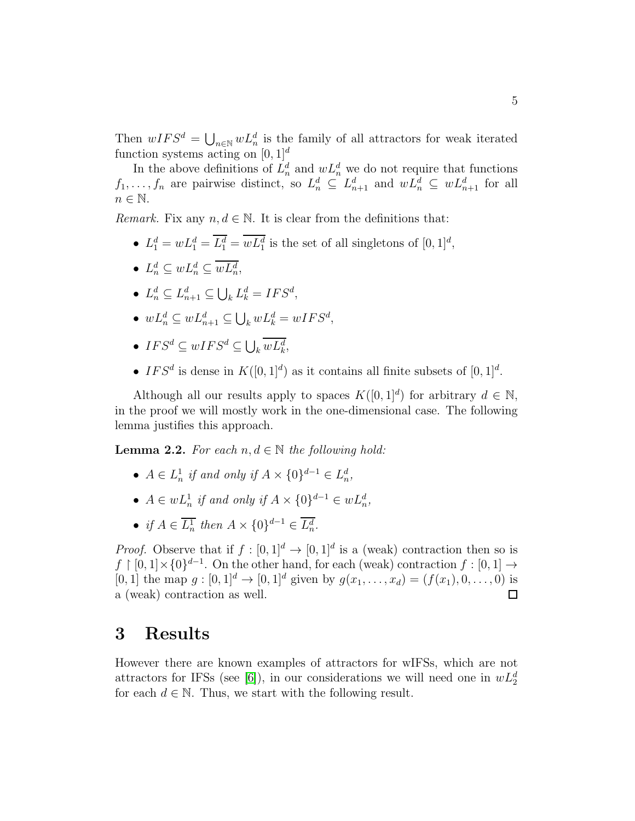Then  $wIFS^d = \bigcup_{n \in \mathbb{N}} wL_n^d$  is the family of all attractors for weak iterated function systems acting on  $[0, 1]^d$ 

In the above definitions of  $L_n^d$  and  $wL_n^d$  we do not require that functions  $f_1, \ldots, f_n$  are pairwise distinct, so  $L_n^d \subseteq L_{n+1}^d$  and  $wL_n^d \subseteq wL_{n+1}^d$  for all  $n \in \mathbb{N}$ .

*Remark.* Fix any  $n, d \in \mathbb{N}$ . It is clear from the definitions that:

- $L_1^d = wL_1^d = \overline{L_1^d} = \overline{wL_1^d}$  is the set of all singletons of  $[0, 1]^d$ ,
- $L_n^d \subseteq wL_n^d \subseteq \overline{wL_n^d}$ ,
- $L_n^d \subseteq L_{n+1}^d \subseteq \bigcup_k L_k^d = IFS^d$ ,
- $wL_n^d \subseteq wL_{n+1}^d \subseteq \bigcup_k wL_k^d = wIFS^d$ ,
- $IFS^d \subseteq wIFS^d \subseteq \bigcup_k \overline{wL_k^d}$ ,
- IFS<sup>d</sup> is dense in  $K([0,1]^d)$  as it contains all finite subsets of  $[0,1]^d$ .

Although all our results apply to spaces  $K([0, 1]^d)$  for arbitrary  $d \in \mathbb{N}$ , in the proof we will mostly work in the one-dimensional case. The following lemma justifies this approach.

<span id="page-4-0"></span>**Lemma 2.2.** For each  $n, d \in \mathbb{N}$  the following hold:

- $A \in L^1_n$  $\frac{1}{n}$  *if and only if*  $A \times \{0\}^{d-1} \in L_n^d$ ,
- $A \in wL_n^1$  *if and only if*  $A \times \{0\}^{d-1} \in wL_n^d$ ,
- *if*  $A \in \overline{L_n^1}$  then  $A \times \{0\}^{d-1} \in \overline{L_n^d}$ .

*Proof.* Observe that if  $f : [0,1]^d \to [0,1]^d$  is a (weak) contraction then so is  $f \restriction [0,1] \times \{0\}^{d-1}$ . On the other hand, for each (weak) contraction  $f : [0,1] \to$ [0, 1] the map  $g : [0, 1]^d \to [0, 1]^d$  given by  $g(x_1, \ldots, x_d) = (f(x_1), 0, \ldots, 0)$  is a (weak) contraction as well.  $\Box$ 

#### 3 Results

However there are known examples of attractors for wIFSs, which are not attractors for IFSs (see [\[6\]](#page-13-6)), in our considerations we will need one in  $wL_2^d$ for each  $d \in \mathbb{N}$ . Thus, we start with the following result.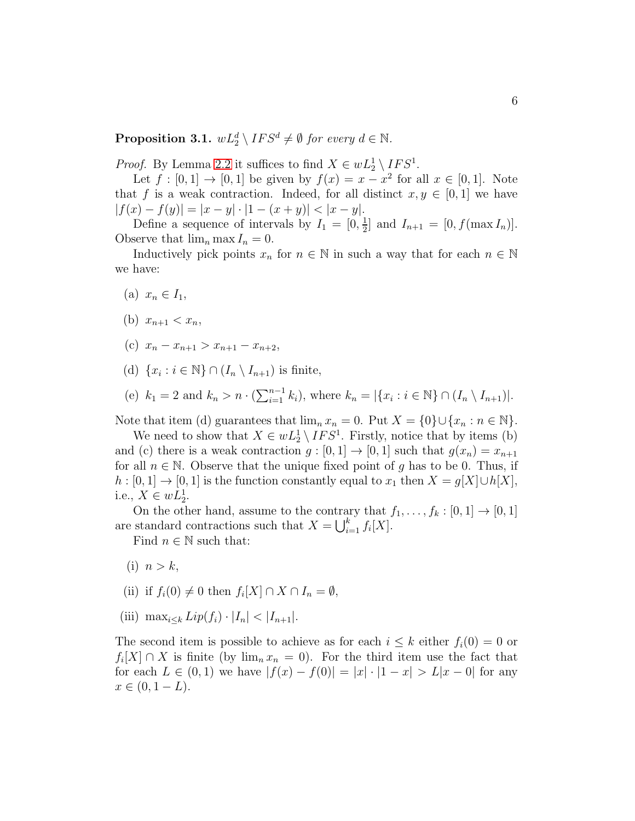<span id="page-5-0"></span>**Proposition 3.1.**  $wL_2^d \setminus IFS^d \neq \emptyset$  for every  $d \in \mathbb{N}$ .

*Proof.* By Lemma [2.2](#page-4-0) it suffices to find  $X \in wL_2^1 \setminus IFS^1$ .

Let  $f : [0,1] \to [0,1]$  be given by  $f(x) = x - x^2$  for all  $x \in [0,1]$ . Note that f is a weak contraction. Indeed, for all distinct  $x, y \in [0, 1]$  we have  $|f(x) - f(y)| = |x - y| \cdot |1 - (x + y)| < |x - y|.$ 

Define a sequence of intervals by  $I_1 = \left[0, \frac{1}{2}\right]$  $\frac{1}{2}$  and  $I_{n+1} = [0, f(\max I_n)].$ Observe that  $\lim_{n} \max I_n = 0$ .

Inductively pick points  $x_n$  for  $n \in \mathbb{N}$  in such a way that for each  $n \in \mathbb{N}$ we have:

- (a)  $x_n \in I_1$ ,
- (b)  $x_{n+1} < x_n$ ,
- (c)  $x_n x_{n+1} > x_{n+1} x_{n+2}$
- (d)  $\{x_i : i \in \mathbb{N}\} \cap (I_n \setminus I_{n+1})$  is finite,
- (e)  $k_1 = 2$  and  $k_n > n \cdot (\sum_{i=1}^{n-1} k_i)$ , where  $k_n = |\{x_i : i \in \mathbb{N}\} \cap (I_n \setminus I_{n+1})|$ .

Note that item (d) guarantees that  $\lim_n x_n = 0$ . Put  $X = \{0\} \cup \{x_n : n \in \mathbb{N}\}.$ 

We need to show that  $X \in wL_2^1 \setminus IFS^1$ . Firstly, notice that by items (b) and (c) there is a weak contraction  $g:[0,1] \to [0,1]$  such that  $g(x_n) = x_{n+1}$ for all  $n \in \mathbb{N}$ . Observe that the unique fixed point of g has to be 0. Thus, if  $h : [0,1] \to [0,1]$  is the function constantly equal to  $x_1$  then  $X = g[X] \cup h[X]$ , i.e.,  $X \in wL_2^1$ .

On the other hand, assume to the contrary that  $f_1, \ldots, f_k : [0,1] \to [0,1]$ are standard contractions such that  $X = \bigcup_{i=1}^{k} f_i[X]$ .

Find  $n \in \mathbb{N}$  such that:

- (i)  $n > k$ ,
- (ii) if  $f_i(0) \neq 0$  then  $f_i[X] \cap X \cap I_n = \emptyset$ ,
- (iii)  $\max_{i \leq k} Lip(f_i) \cdot |I_n| < |I_{n+1}|.$

The second item is possible to achieve as for each  $i \leq k$  either  $f_i(0) = 0$  or  $f_i[X] \cap X$  is finite (by  $\lim_n x_n = 0$ ). For the third item use the fact that for each  $L \in (0,1)$  we have  $|f(x) - f(0)| = |x| \cdot |1-x| > L|x-0|$  for any  $x \in (0, 1 - L).$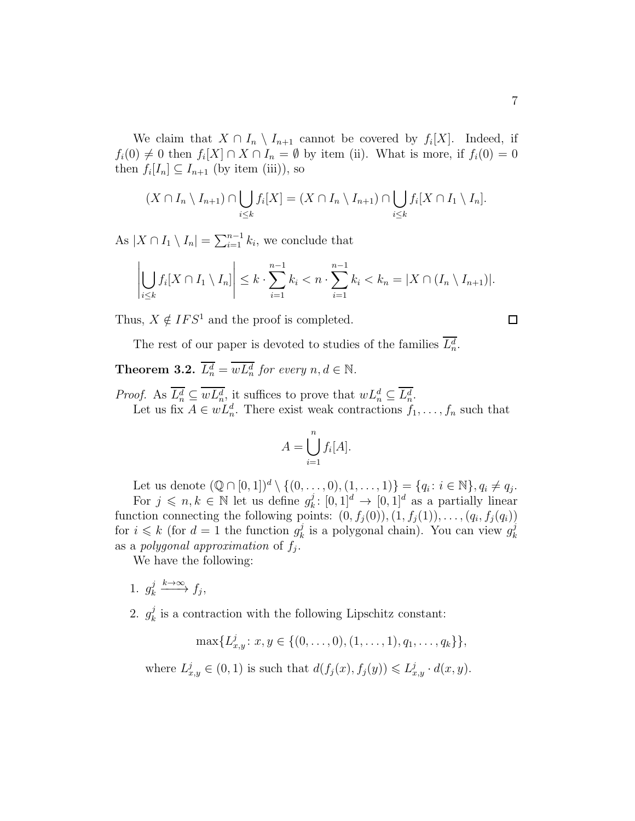We claim that  $X \cap I_n \setminus I_{n+1}$  cannot be covered by  $f_i[X]$ . Indeed, if  $f_i(0) \neq 0$  then  $f_i[X] \cap X \cap I_n = \emptyset$  by item (ii). What is more, if  $f_i(0) = 0$ then  $f_i[I_n] \subseteq I_{n+1}$  (by item (iii)), so

$$
(X \cap I_n \setminus I_{n+1}) \cap \bigcup_{i \leq k} f_i[X] = (X \cap I_n \setminus I_{n+1}) \cap \bigcup_{i \leq k} f_i[X \cap I_1 \setminus I_n].
$$

As  $|X \cap I_1 \setminus I_n| = \sum_{i=1}^{n-1} k_i$ , we conclude that

$$
\left|\bigcup_{i\leq k}f_i[X\cap I_1\setminus I_n]\right|\leq k\cdot\sum_{i=1}^{n-1}k_i
$$

Thus,  $X \notin IFS^1$  and the proof is completed.

$$
\Box
$$

The rest of our paper is devoted to studies of the families  $L_n^d$ .

# <span id="page-6-0"></span>**Theorem 3.2.**  $L_n^d = w L_n^d$  for every  $n, d \in \mathbb{N}$ .

*Proof.* As  $\overline{L_n^d} \subseteq \overline{wL_n^d}$ , it suffices to prove that  $wL_n^d \subseteq \overline{L_n^d}$ . Let us fix  $A \in wL_n^d$ . There exist weak contractions  $f_1, \ldots, f_n$  such that

$$
A = \bigcup_{i=1}^{n} f_i[A].
$$

Let us denote  $(\mathbb{Q} \cap [0,1])^d \setminus \{(0,\ldots,0), (1,\ldots,1)\} = \{q_i : i \in \mathbb{N}\}, q_i \neq q_j.$ For  $j \leq n, k \in \mathbb{N}$  let us define  $g_k^j$  $k^j: [0,1]^d \rightarrow [0,1]^d$  as a partially linear function connecting the following points:  $(0, f_j(0)), (1, f_j(1)), \ldots, (q_i, f_j(q_i))$ for  $i \leq k$  (for  $d = 1$  the function  $g_k^j$  $\frac{j}{k}$  is a polygonal chain). You can view  $g_k^j$ k as a *polygonal approximation* of  $f_j$ .

We have the following:

- 1.  $g_k^j$  $\frac{j}{k} \xrightarrow{k \to \infty} f_j,$
- 2.  $g_k^j$  $\frac{J}{k}$  is a contraction with the following Lipschitz constant:

$$
\max\{L_{x,y}^j: x,y \in \{(0,\ldots,0), (1,\ldots,1), q_1,\ldots, q_k\}\},\
$$

where  $L_{x,y}^j \in (0,1)$  is such that  $d(f_j(x), f_j(y)) \leq L_{x,y}^j \cdot d(x,y)$ .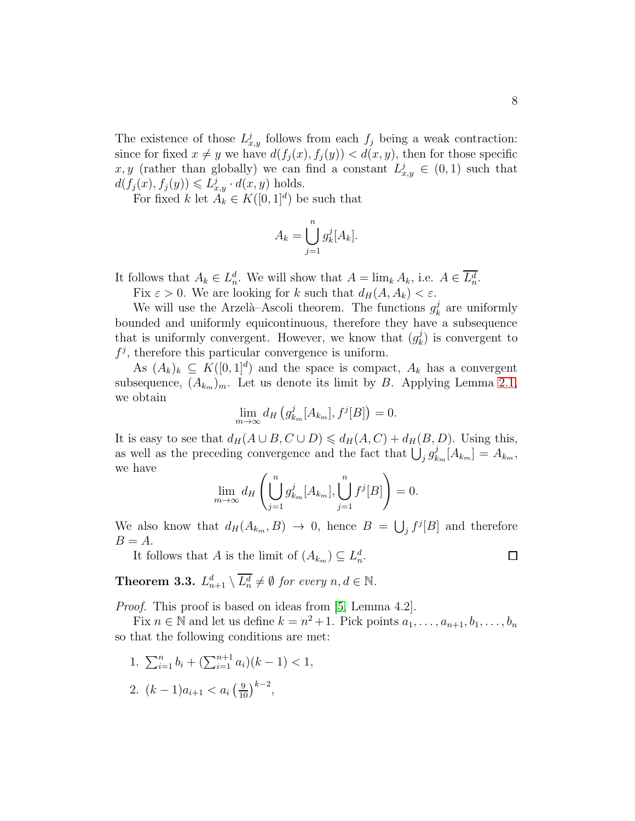The existence of those  $L^j_{x,y}$  follows from each  $f_j$  being a weak contraction: since for fixed  $x \neq y$  we have  $d(f_j(x), f_j(y)) < d(x, y)$ , then for those specific x, y (rather than globally) we can find a constant  $L_{x,y}^j \in (0,1)$  such that  $d(f_j(x), f_j(y)) \leqslant L^j_{x,y} \cdot d(x,y)$  holds.

For fixed k let  $A_k \in K([0,1]^d)$  be such that

$$
A_k = \bigcup_{j=1}^n g_k^j[A_k].
$$

It follows that  $A_k \in L_n^d$ . We will show that  $A = \lim_k A_k$ , i.e.  $A \in \overline{L_n^d}$ .

Fix  $\varepsilon > 0$ . We are looking for k such that  $d_H(A, A_k) < \varepsilon$ .

We will use the Arzelà–Ascoli theorem. The functions  $g_k^j$  $\frac{J}{k}$  are uniformly bounded and uniformly equicontinuous, therefore they have a subsequence that is uniformly convergent. However, we know that  $(g_k^j)$  $\binom{J}{k}$  is convergent to  $f^j$ , therefore this particular convergence is uniform.

As  $(A_k)_k \subseteq K([0,1]^d)$  and the space is compact,  $A_k$  has a convergent subsequence,  $(A_{k_m})_m$ . Let us denote its limit by B. Applying Lemma [2.1,](#page-3-0) we obtain

$$
\lim_{m \to \infty} d_H \left( g_{k_m}^j[A_{k_m}], f^j[B] \right) = 0.
$$

It is easy to see that  $d_H(A \cup B, C \cup D) \leq d_H(A, C) + d_H(B, D)$ . Using this, as well as the preceding convergence and the fact that  $\bigcup_j g_k^j$  $\mu_{k_m}^j[A_{k_m}] = A_{k_m},$ we have

$$
\lim_{m \to \infty} d_H \left( \bigcup_{j=1}^n g_{k_m}^j [A_{k_m}], \bigcup_{j=1}^n f^j [B] \right) = 0.
$$

We also know that  $d_H(A_{k_m}, B) \to 0$ , hence  $B = \bigcup_j f^j[B]$  and therefore  $B = A$ .

It follows that A is the limit of  $(A_{k_m}) \subseteq L_n^d$ .

<span id="page-7-0"></span>**Theorem 3.3.**  $L_{n+1}^d \setminus \overline{L_n^d} \neq \emptyset$  for every  $n, d \in \mathbb{N}$ .

*Proof.* This proof is based on ideas from [\[5,](#page-13-3) Lemma 4.2].

Fix  $n \in \mathbb{N}$  and let us define  $k = n^2 + 1$ . Pick points  $a_1, \ldots, a_{n+1}, b_1, \ldots, b_n$ so that the following conditions are met:

- 1.  $\sum_{i=1}^{n} b_i + (\sum_{i=1}^{n+1} a_i)(k-1) < 1$ ,
- 2.  $(k-1)a_{i+1} < a_i \left(\frac{9}{10}\right)^{k-2}$ ,

 $\Box$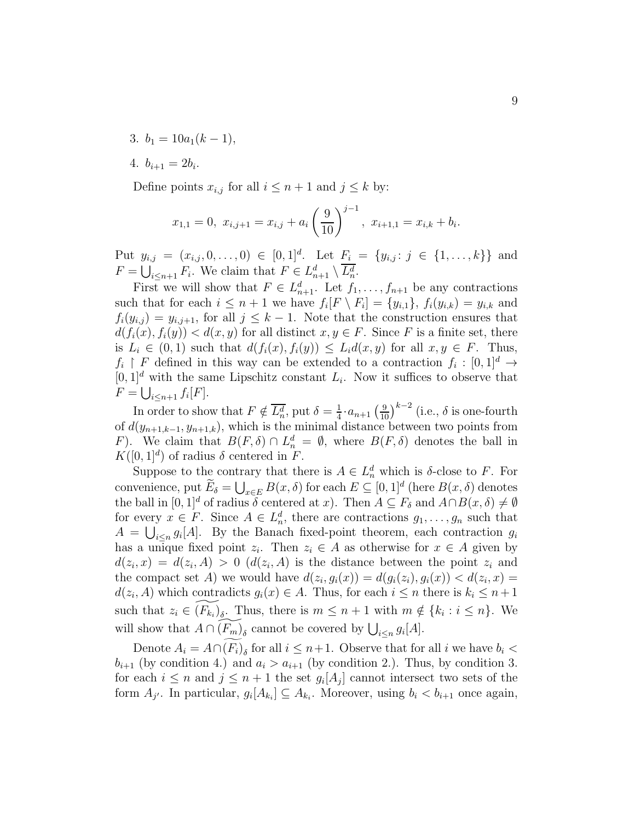- 3.  $b_1 = 10a_1(k-1)$ ,
- 4.  $b_{i+1} = 2b_i$ .

Define points  $x_{i,j}$  for all  $i \leq n+1$  and  $j \leq k$  by:

$$
x_{1,1} = 0
$$
,  $x_{i,j+1} = x_{i,j} + a_i \left(\frac{9}{10}\right)^{j-1}$ ,  $x_{i+1,1} = x_{i,k} + b_i$ .

Put  $y_{i,j} = (x_{i,j}, 0, \ldots, 0) \in [0,1]^d$ . Let  $F_i = \{y_{i,j} : j \in \{1, \ldots, k\}\}\$  and  $F = \bigcup_{i \leq n+1} F_i$ . We claim that  $F \in L_{n+1}^d \setminus \overline{L_n^d}$ .

First we will show that  $F \in L_{n+1}^d$ . Let  $f_1, \ldots, f_{n+1}$  be any contractions such that for each  $i \leq n+1$  we have  $f_i[F \setminus F_i] = \{y_{i,1}\},\ f_i(y_{i,k}) = y_{i,k}$  and  $f_i(y_{i,j}) = y_{i,j+1}$ , for all  $j \leq k-1$ . Note that the construction ensures that  $d(f_i(x), f_i(y)) < d(x, y)$  for all distinct  $x, y \in F$ . Since F is a finite set, there is  $L_i \in (0,1)$  such that  $d(f_i(x), f_i(y)) \leq L_i d(x,y)$  for all  $x, y \in F$ . Thus,  $f_i \restriction F$  defined in this way can be extended to a contraction  $f_i : [0,1]^d \to$  $[0,1]^d$  with the same Lipschitz constant  $L_i$ . Now it suffices to observe that  $F = \bigcup_{i \leq n+1} f_i[F].$ 

In order to show that  $F \notin \overline{L_n^d}$ , put  $\delta = \frac{1}{4}$  $\frac{1}{4}$  ·  $a_{n+1}$   $\left(\frac{9}{10}\right)^{k-2}$  (i.e.,  $\delta$  is one-fourth of  $d(y_{n+1,k-1}, y_{n+1,k})$ , which is the minimal distance between two points from F). We claim that  $B(F,\delta) \cap L_n^d = \emptyset$ , where  $B(F,\delta)$  denotes the ball in  $K([0, 1]^d)$  of radius  $\delta$  centered in F.

Suppose to the contrary that there is  $A \in L_n^d$  which is  $\delta$ -close to F. For convenience, put  $\widetilde{E}_{\delta} = \bigcup_{x \in E} B(x, \delta)$  for each  $E \subseteq [0, 1]^d$  (here  $B(x, \delta)$  denotes the ball in  $[0, 1]^d$  of radius  $\delta$  centered at x). Then  $A \subseteq F_{\delta}$  and  $A \cap B(x, \delta) \neq \emptyset$ for every  $x \in F$ . Since  $A \in L_n^d$ , there are contractions  $g_1, \ldots, g_n$  such that  $A = \bigcup_{i \leq n} g_i[A]$ . By the Banach fixed-point theorem, each contraction  $g_i$ has a unique fixed point  $z_i$ . Then  $z_i \in A$  as otherwise for  $x \in A$  given by  $d(z_i, x) = d(z_i, A) > 0$  ( $d(z_i, A)$ ) is the distance between the point  $z_i$  and the compact set A) we would have  $d(z_i, g_i(x)) = d(g_i(z_i), g_i(x)) < d(z_i, x) =$  $d(z_i, A)$  which contradicts  $g_i(x) \in A$ . Thus, for each  $i \leq n$  there is  $k_i \leq n+1$ such that  $z_i \in \widetilde{(F_{k_i})_{\delta}}$ . Thus, there is  $m \leq n+1$  with  $m \notin \{k_i : i \leq n\}$ . We will show that  $A \cap \widetilde{(F_m)}_\delta$  cannot be covered by  $\bigcup_{i \leq n} g_i[A]$ .

Denote  $A_i = A \cap (F_i)_{\delta}$  for all  $i \leq n+1$ . Observe that for all  $i$  we have  $b_i <$  $b_{i+1}$  (by condition 4.) and  $a_i > a_{i+1}$  (by condition 2.). Thus, by condition 3. for each  $i \leq n$  and  $j \leq n+1$  the set  $g_i[A_j]$  cannot intersect two sets of the form  $A_{j'}$ . In particular,  $g_i[A_{k_i}] \subseteq A_{k_i}$ . Moreover, using  $b_i < b_{i+1}$  once again,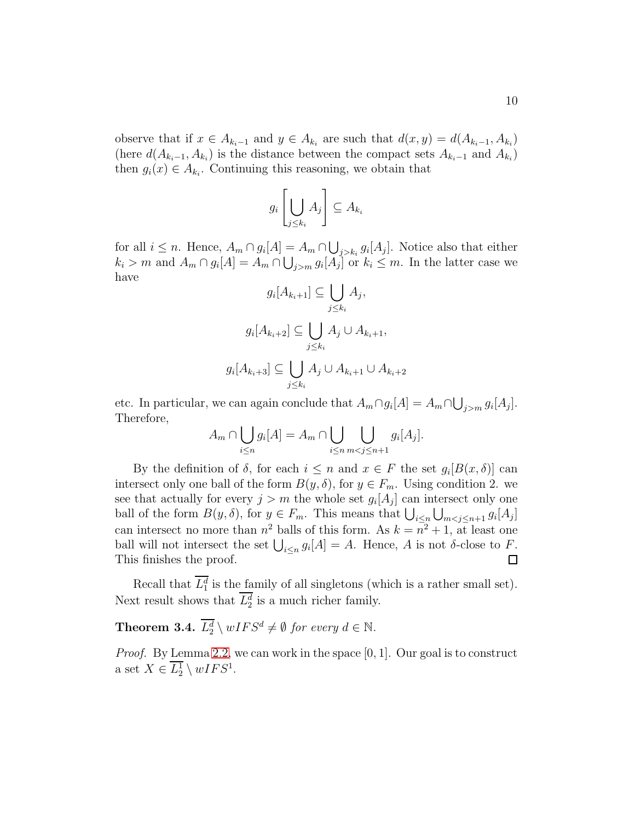observe that if  $x \in A_{k_i-1}$  and  $y \in A_{k_i}$  are such that  $d(x, y) = d(A_{k_i-1}, A_{k_i})$ (here  $d(A_{k_i-1}, A_{k_i})$  is the distance between the compact sets  $A_{k_i-1}$  and  $A_{k_i}$ ) then  $g_i(x) \in A_{k_i}$ . Continuing this reasoning, we obtain that

$$
g_i\left[\bigcup_{j\leq k_i}A_j\right]\subseteq A_{k_i}
$$

for all  $i \leq n$ . Hence,  $A_m \cap g_i[A] = A_m \cap \bigcup_{j > k_i} g_i[A_j]$ . Notice also that either  $k_i > m$  and  $A_m \cap g_i[A] = A_m \cap \bigcup_{j>m} g_i[A_j]$  or  $k_i \leq m$ . In the latter case we have

$$
g_i[A_{k_i+1}] \subseteq \bigcup_{j \le k_i} A_j,
$$
  

$$
g_i[A_{k_i+2}] \subseteq \bigcup_{j \le k_i} A_j \cup A_{k_i+1},
$$
  

$$
g_i[A_{k_i+3}] \subseteq \bigcup_{j \le k_i} A_j \cup A_{k_i+1} \cup A_{k_i+2}
$$

etc. In particular, we can again conclude that  $A_m \cap g_i[A] = A_m \cap \bigcup_{j>m} g_i[A_j]$ . Therefore,

$$
A_m \cap \bigcup_{i \le n} g_i[A] = A_m \cap \bigcup_{i \le n} \bigcup_{m < j \le n+1} g_i[A_j].
$$

By the definition of  $\delta$ , for each  $i \leq n$  and  $x \in F$  the set  $g_i[B(x, \delta)]$  can intersect only one ball of the form  $B(y, \delta)$ , for  $y \in F_m$ . Using condition 2. we see that actually for every  $j > m$  the whole set  $g_i[A_j]$  can intersect only one ball of the form  $B(y, \delta)$ , for  $y \in F_m$ . This means that  $\bigcup_{i \leq n} \bigcup_{m < j \leq n+1} g_i[A_j]$ can intersect no more than  $n^2$  balls of this form. As  $k = n^2 + 1$ , at least one ball will not intersect the set  $\bigcup_{i\leq n} g_i[A] = A$ . Hence, A is not  $\delta$ -close to F. This finishes the proof.  $\Box$ 

Recall that  $L_1^d$  is the family of all singletons (which is a rather small set). Next result shows that  $L_2^d$  is a much richer family.

<span id="page-9-0"></span>**Theorem 3.4.**  $L_2^d \setminus wIFS^d \neq \emptyset$  for every  $d \in \mathbb{N}$ .

*Proof.* By Lemma [2.2,](#page-4-0) we can work in the space [0, 1]. Our goal is to construct a set  $X \in \overline{L_2^1} \setminus wIFS^1$ .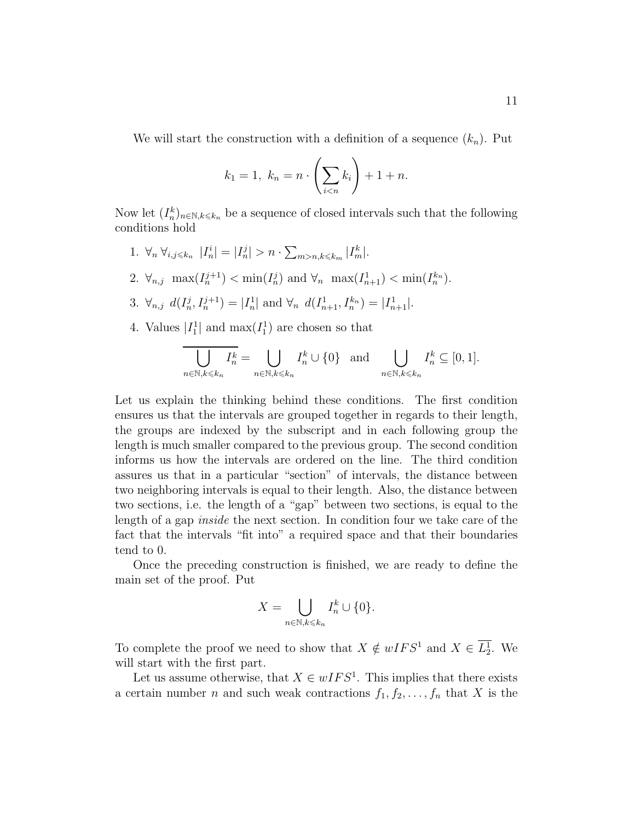We will start the construction with a definition of a sequence  $(k_n)$ . Put

$$
k_1 = 1, \ k_n = n \cdot \left(\sum_{i < n} k_i\right) + 1 + n.
$$

Now let  $(I_n^k)_{n \in \mathbb{N}, k \leq k_n}$  be a sequence of closed intervals such that the following conditions hold

- 1.  $\forall_n \ \forall_{i,j \leq k_n} |I_n^i| = |I_n^j| > n \cdot \sum_{m > n, k \leq k_m} |I_m^k|$ .
- 2.  $\forall_{n,j} \ \max(I_n^{j+1}) < \min(I_n^j)$  and  $\forall_n \ \max(I_{n+1}^1) < \min(I_n^{k_n})$ .
- 3.  $\forall_{n,j} d(I_n^j, I_n^{j+1}) = |I_n^1|$  $|I_n^1|$  and  $\forall_n d(I_{n+1}^1, I_n^{k_n}) = |I_{n+1}^1|.$
- 4. Values  $|I_1^1|$  and  $\max(I_1^1)$  are chosen so that

$$
\overline{\bigcup_{n\in\mathbb{N},k\leqslant k_n}I_n^k} = \bigcup_{n\in\mathbb{N},k\leqslant k_n}I_n^k\cup\{0\} \text{ and } \bigcup_{n\in\mathbb{N},k\leqslant k_n}I_n^k\subseteq[0,1].
$$

Let us explain the thinking behind these conditions. The first condition ensures us that the intervals are grouped together in regards to their length, the groups are indexed by the subscript and in each following group the length is much smaller compared to the previous group. The second condition informs us how the intervals are ordered on the line. The third condition assures us that in a particular "section" of intervals, the distance between two neighboring intervals is equal to their length. Also, the distance between two sections, i.e. the length of a "gap" between two sections, is equal to the length of a gap *inside* the next section. In condition four we take care of the fact that the intervals "fit into" a required space and that their boundaries tend to 0.

Once the preceding construction is finished, we are ready to define the main set of the proof. Put

$$
X = \bigcup_{n \in \mathbb{N}, k \leq k_n} I_n^k \cup \{0\}.
$$

To complete the proof we need to show that  $X \notin wIFS^1$  and  $X \in \overline{L_2^1}$ . We will start with the first part.

Let us assume otherwise, that  $X \in wIFS^1$ . This implies that there exists a certain number n and such weak contractions  $f_1, f_2, \ldots, f_n$  that X is the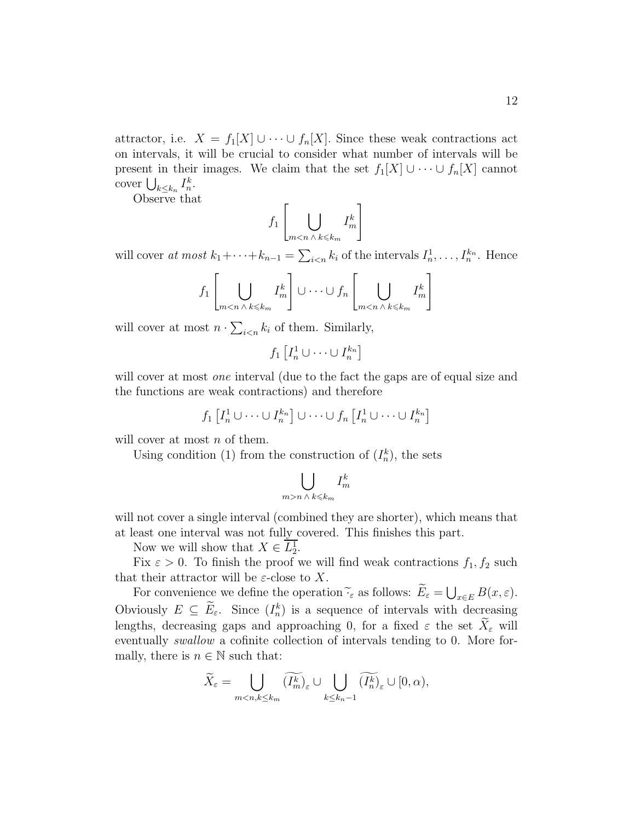attractor, i.e.  $X = f_1[X] \cup \cdots \cup f_n[X]$ . Since these weak contractions act on intervals, it will be crucial to consider what number of intervals will be present in their images. We claim that the set  $f_1[X] \cup \cdots \cup f_n[X]$  cannot cover  $\bigcup_{k \leq k_n} I_n^k$ .

Observe that

$$
f_1\left[\bigcup_{m
$$

will cover *at most*  $k_1 + \cdots + k_{n-1} = \sum_{i \le n} k_i$  of the intervals  $I_n^1$  $I_n^1, \ldots, I_n^{k_n}$ . Hence

$$
f_1\left[\bigcup_{m
$$

will cover at most  $n \cdot \sum_{i \leq n} k_i$  of them. Similarly,

$$
f_1\left[I_n^1\cup\cdots\cup I_n^{k_n}\right]
$$

will cover at most *one* interval (due to the fact the gaps are of equal size and the functions are weak contractions) and therefore

$$
f_1\left[I_n^1 \cup \cdots \cup I_n^{k_n}\right] \cup \cdots \cup f_n\left[I_n^1 \cup \cdots \cup I_n^{k_n}\right]
$$

will cover at most n of them.

Using condition (1) from the construction of  $(I_n^k)$ , the sets

$$
\bigcup_{m>n \; \wedge \; k \leqslant k_m} I_m^k
$$

will not cover a single interval (combined they are shorter), which means that at least one interval was not fully covered. This finishes this part.

Now we will show that  $X \in \overline{L_2^1}$ .

Fix  $\varepsilon > 0$ . To finish the proof we will find weak contractions  $f_1, f_2$  such that their attractor will be  $\varepsilon$ -close to X.

For convenience we define the operation  $\widetilde{\cdot}_{\varepsilon}$  as follows:  $\widetilde{E}_{\varepsilon} = \bigcup_{x \in E} B(x, \varepsilon)$ . Obviously  $E \subseteq E_{\varepsilon}$ . Since  $(I_n^k)$  is a sequence of intervals with decreasing lengths, decreasing gaps and approaching 0, for a fixed  $\varepsilon$  the set  $X_{\varepsilon}$  will eventually *swallow* a cofinite collection of intervals tending to 0. More formally, there is  $n \in \mathbb{N}$  such that:

$$
\widetilde{X}_{\varepsilon} = \bigcup_{m < n, k \leq k_m} \widetilde{(I_m^k)}_{\varepsilon} \cup \bigcup_{k \leq k_n - 1} \widetilde{(I_n^k)}_{\varepsilon} \cup [0, \alpha),
$$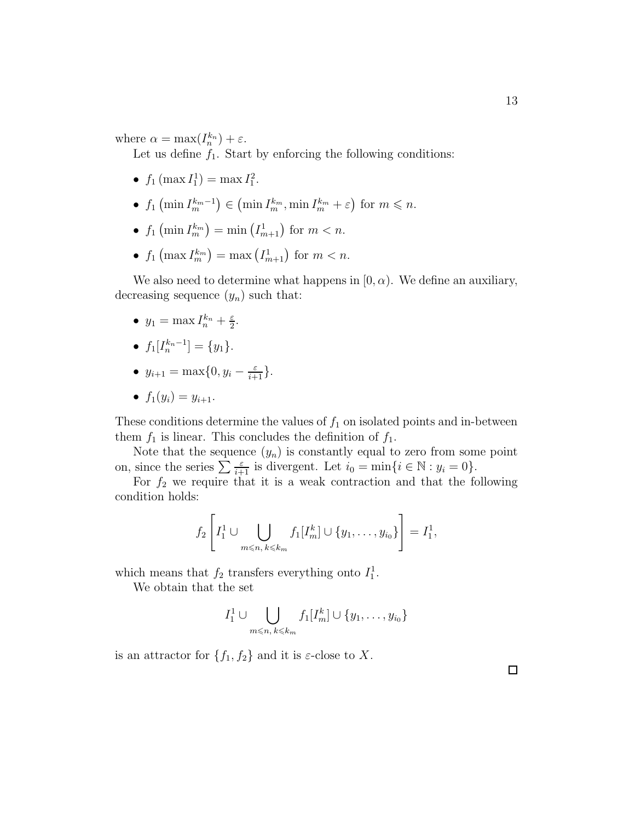where  $\alpha = \max(I_n^{k_n}) + \varepsilon$ .

Let us define  $f_1$ . Start by enforcing the following conditions:

- $f_1$  (max  $I_1^1$ ) = max  $I_1^2$ .
- $f_1\left(\min I_m^{k_m-1}\right) \in \left(\min I_m^{k_m}, \min I_m^{k_m} + \varepsilon\right)$  for  $m \leq n$ .
- $f_1\left(\min I_m^{k_m}\right) = \min \left(I_{m+1}^1\right)$  for  $m < n$ .
- $f_1\left(\max I_m^{k_m}\right) = \max \left(I_{m+1}^1\right)$  for  $m < n$ .

We also need to determine what happens in  $[0, \alpha)$ . We define an auxiliary, decreasing sequence  $(y_n)$  such that:

- $y_1 = \max I_n^{k_n} + \frac{\varepsilon}{2}$  $\frac{\varepsilon}{2}$ .
- $f_1[I_n^{k_n-1}] = \{y_1\}.$
- $y_{i+1} = \max\{0, y_i \frac{\varepsilon}{i+1}\}.$
- $f_1(y_i) = y_{i+1}$ .

These conditions determine the values of  $f_1$  on isolated points and in-between them  $f_1$  is linear. This concludes the definition of  $f_1$ .

Note that the sequence  $(y_n)$  is constantly equal to zero from some point on, since the series  $\sum \frac{\varepsilon}{i+1}$  is divergent. Let  $i_0 = \min\{i \in \mathbb{N} : y_i = 0\}.$ 

For  $f_2$  we require that it is a weak contraction and that the following condition holds:

$$
f_2\left[I_1^1 \cup \bigcup_{m \leq n, \, k \leq k_m} f_1[I_m^k] \cup \{y_1, \ldots, y_{i_0}\}\right] = I_1^1,
$$

which means that  $f_2$  transfers everything onto  $I_1^1$ .

We obtain that the set

$$
I_1^1 \cup \bigcup_{m \leqslant n, k \leqslant k_m} f_1[I_m^k] \cup \{y_1, \ldots, y_{i_0}\}\
$$

is an attractor for  $\{f_1, f_2\}$  and it is  $\varepsilon$ -close to X.

 $\Box$